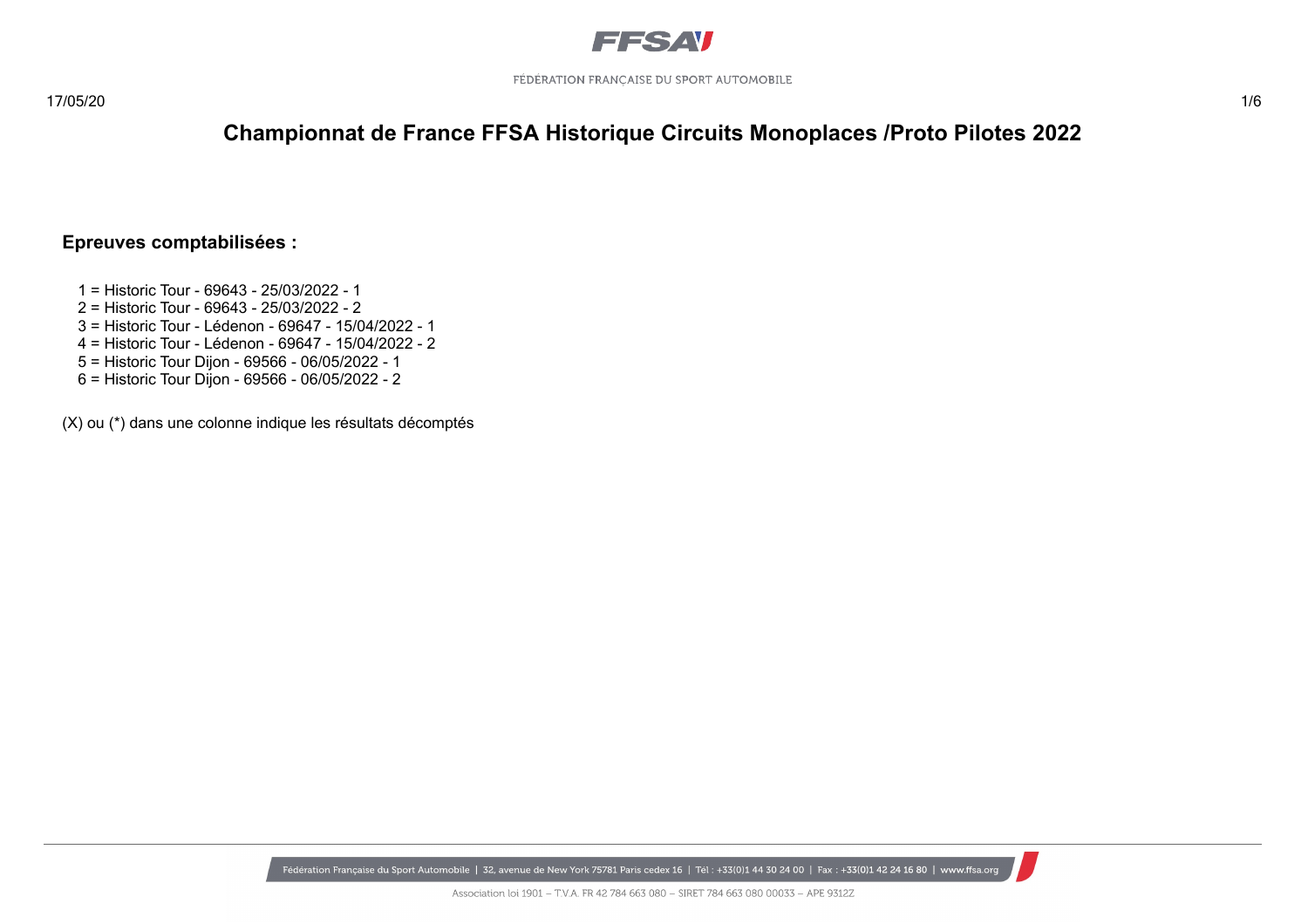

### **Epreuves comptabilisées :**

- 1 = Historic Tour 69643 25/03/2022 1
- 2 = Historic Tour 69643 25/03/2022 2
- 3 = Historic Tour Lédenon 69647 15/04/2022 1
- 4 = Historic Tour Lédenon 69647 15/04/2022 2
- 5 = Historic Tour Dijon 69566 06/05/2022 1
- 6 = Historic Tour Dijon 69566 06/05/2022 2

(X) ou (\*) dans une colonne indique les résultats décomptés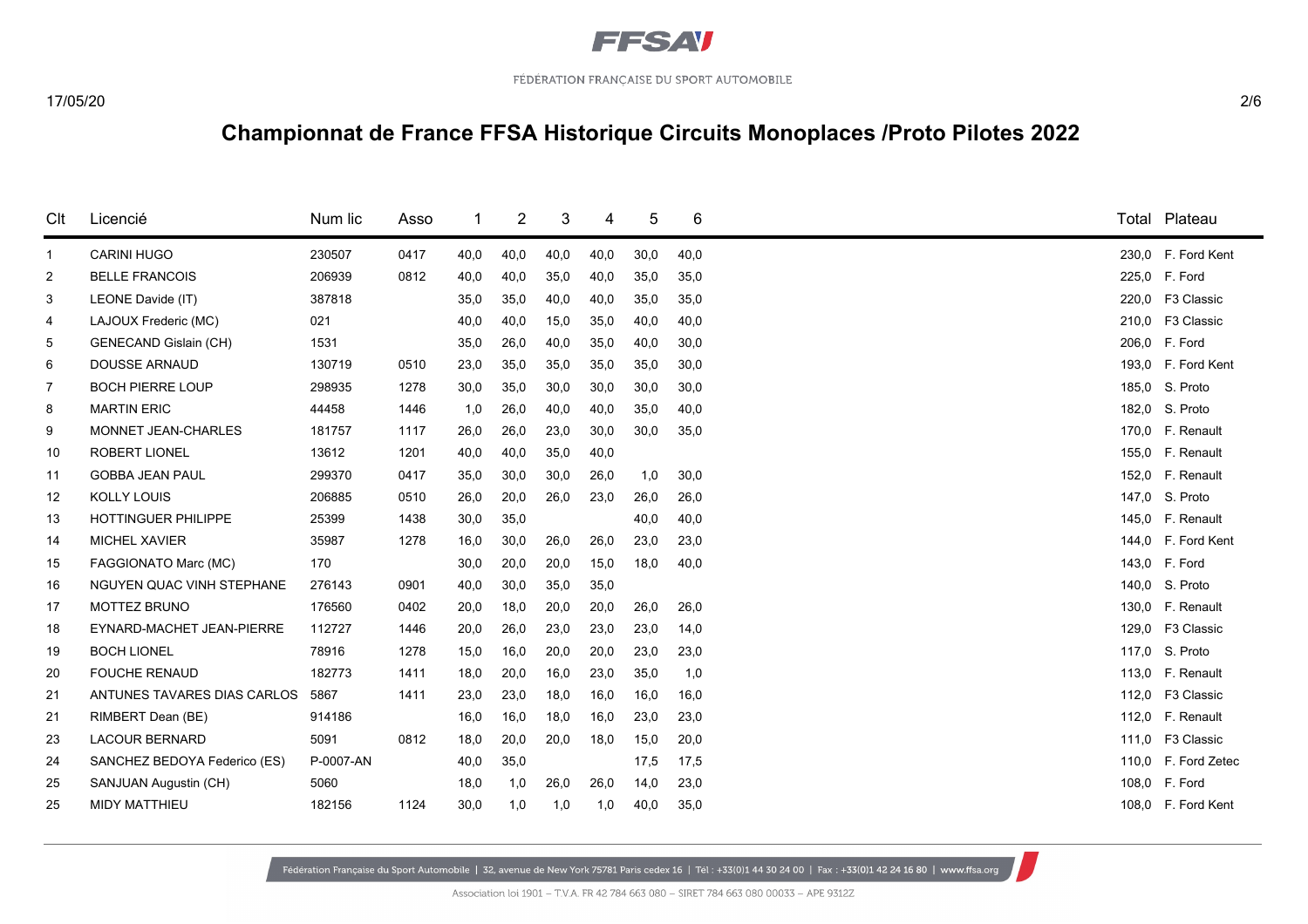

| Clt            | Licencié                     | Num lic   | Asso |      | 2    | 3    | 4    | 5    | 6    |       | Total Plateau       |
|----------------|------------------------------|-----------|------|------|------|------|------|------|------|-------|---------------------|
| $\mathbf{1}$   | <b>CARINI HUGO</b>           | 230507    | 0417 | 40,0 | 40,0 | 40,0 | 40,0 | 30,0 | 40,0 |       | 230,0 F. Ford Kent  |
| $\overline{2}$ | <b>BELLE FRANCOIS</b>        | 206939    | 0812 | 40,0 | 40,0 | 35,0 | 40,0 | 35,0 | 35,0 |       | 225,0 F. Ford       |
| 3              | LEONE Davide (IT)            | 387818    |      | 35,0 | 35,0 | 40,0 | 40,0 | 35,0 | 35,0 |       | 220,0 F3 Classic    |
| 4              | LAJOUX Frederic (MC)         | 021       |      | 40,0 | 40,0 | 15,0 | 35,0 | 40,0 | 40,0 |       | 210.0 F3 Classic    |
| 5              | <b>GENECAND Gislain (CH)</b> | 1531      |      | 35,0 | 26,0 | 40,0 | 35,0 | 40,0 | 30,0 |       | 206,0 F. Ford       |
| 6              | <b>DOUSSE ARNAUD</b>         | 130719    | 0510 | 23,0 | 35,0 | 35,0 | 35,0 | 35,0 | 30,0 |       | 193.0 F. Ford Kent  |
| $\overline{7}$ | <b>BOCH PIERRE LOUP</b>      | 298935    | 1278 | 30,0 | 35,0 | 30,0 | 30,0 | 30,0 | 30,0 |       | 185,0 S. Proto      |
| 8              | <b>MARTIN ERIC</b>           | 44458     | 1446 | 1,0  | 26,0 | 40,0 | 40,0 | 35,0 | 40,0 |       | 182,0 S. Proto      |
| 9              | <b>MONNET JEAN-CHARLES</b>   | 181757    | 1117 | 26,0 | 26,0 | 23,0 | 30,0 | 30,0 | 35,0 |       | 170,0 F. Renault    |
| 10             | <b>ROBERT LIONEL</b>         | 13612     | 1201 | 40,0 | 40,0 | 35,0 | 40,0 |      |      |       | 155,0 F. Renault    |
| 11             | <b>GOBBA JEAN PAUL</b>       | 299370    | 0417 | 35,0 | 30,0 | 30,0 | 26,0 | 1,0  | 30,0 |       | 152,0 F. Renault    |
| 12             | <b>KOLLY LOUIS</b>           | 206885    | 0510 | 26,0 | 20,0 | 26,0 | 23,0 | 26,0 | 26,0 |       | 147,0 S. Proto      |
| 13             | HOTTINGUER PHILIPPE          | 25399     | 1438 | 30,0 | 35,0 |      |      | 40,0 | 40,0 |       | 145,0 F. Renault    |
| 14             | <b>MICHEL XAVIER</b>         | 35987     | 1278 | 16,0 | 30,0 | 26,0 | 26,0 | 23,0 | 23,0 |       | 144,0 F. Ford Kent  |
| 15             | FAGGIONATO Marc (MC)         | 170       |      | 30,0 | 20,0 | 20,0 | 15,0 | 18,0 | 40,0 |       | 143,0 F. Ford       |
| 16             | NGUYEN QUAC VINH STEPHANE    | 276143    | 0901 | 40,0 | 30,0 | 35,0 | 35,0 |      |      |       | 140,0 S. Proto      |
| 17             | MOTTEZ BRUNO                 | 176560    | 0402 | 20,0 | 18,0 | 20,0 | 20,0 | 26,0 | 26,0 |       | 130.0 F. Renault    |
| 18             | EYNARD-MACHET JEAN-PIERRE    | 112727    | 1446 | 20,0 | 26,0 | 23,0 | 23,0 | 23,0 | 14,0 |       | 129,0 F3 Classic    |
| 19             | <b>BOCH LIONEL</b>           | 78916     | 1278 | 15,0 | 16,0 | 20,0 | 20,0 | 23,0 | 23,0 |       | 117.0 S. Proto      |
| 20             | <b>FOUCHE RENAUD</b>         | 182773    | 1411 | 18,0 | 20,0 | 16,0 | 23,0 | 35,0 | 1,0  |       | 113,0 F. Renault    |
| 21             | ANTUNES TAVARES DIAS CARLOS  | 5867      | 1411 | 23,0 | 23,0 | 18,0 | 16,0 | 16,0 | 16,0 | 112,0 | F3 Classic          |
| 21             | RIMBERT Dean (BE)            | 914186    |      | 16,0 | 16,0 | 18,0 | 16,0 | 23,0 | 23,0 |       | 112.0 F. Renault    |
| 23             | <b>LACOUR BERNARD</b>        | 5091      | 0812 | 18,0 | 20,0 | 20,0 | 18,0 | 15,0 | 20,0 |       | 111,0 F3 Classic    |
| 24             | SANCHEZ BEDOYA Federico (ES) | P-0007-AN |      | 40,0 | 35,0 |      |      | 17,5 | 17,5 |       | 110,0 F. Ford Zetec |
| 25             | SANJUAN Augustin (CH)        | 5060      |      | 18,0 | 1,0  | 26,0 | 26,0 | 14,0 | 23,0 |       | 108,0 F. Ford       |
| 25             | MIDY MATTHIEU                | 182156    | 1124 | 30,0 | 1,0  | 1,0  | 1,0  | 40,0 | 35,0 |       | 108,0 F. Ford Kent  |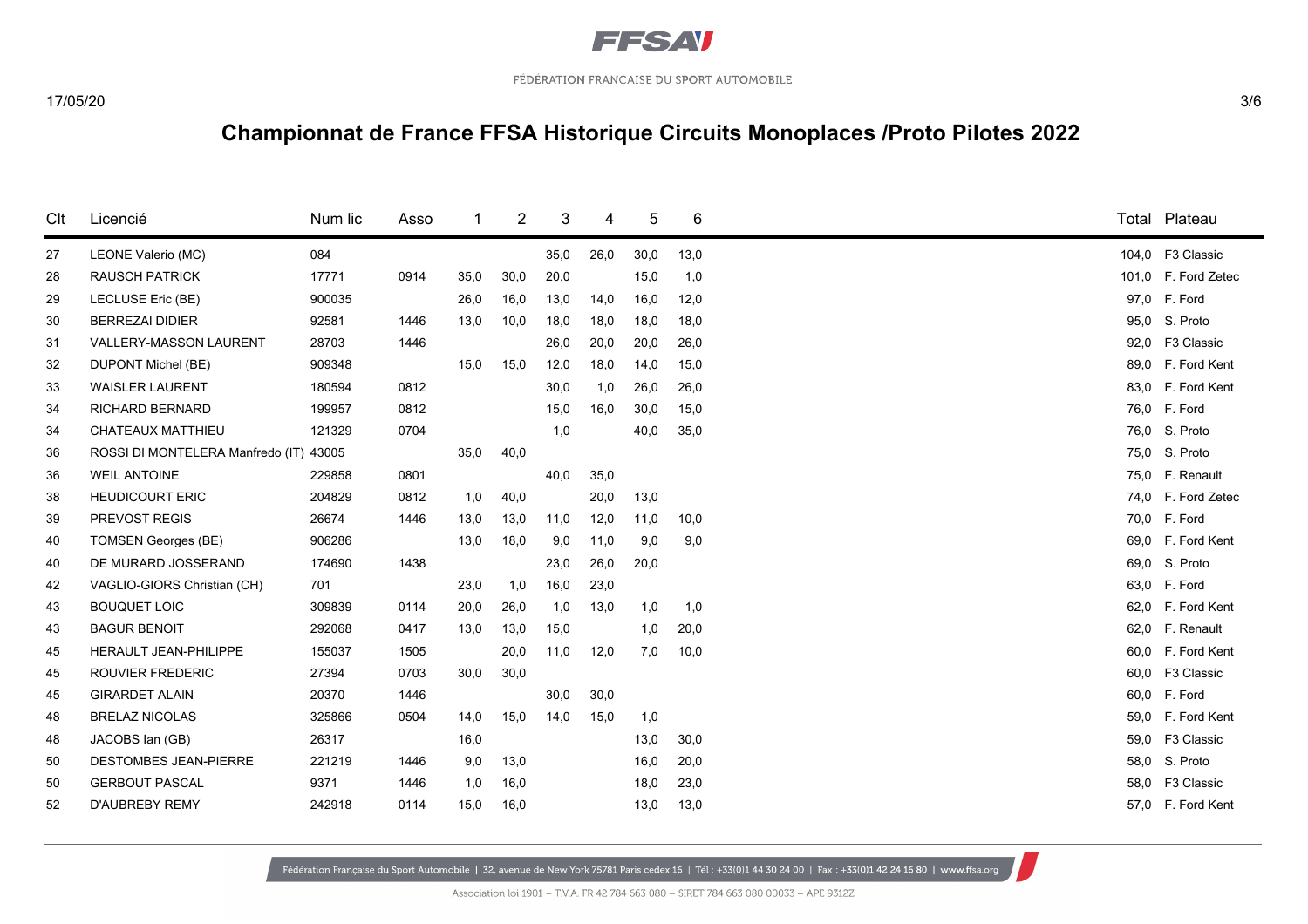

| Clt | Licencié                         | Num lic | Asso | 1    | 2    | 3    | 4    | 5    | 6    |      | Total Plateau       |
|-----|----------------------------------|---------|------|------|------|------|------|------|------|------|---------------------|
| 27  | LEONE Valerio (MC)               | 084     |      |      |      | 35,0 | 26,0 | 30,0 | 13,0 |      | 104,0 F3 Classic    |
| 28  | <b>RAUSCH PATRICK</b>            | 17771   | 0914 | 35,0 | 30,0 | 20,0 |      | 15,0 | 1,0  |      | 101,0 F. Ford Zetec |
| 29  | <b>LECLUSE Eric (BE)</b>         | 900035  |      | 26,0 | 16,0 | 13,0 | 14,0 | 16,0 | 12,0 |      | 97,0 F. Ford        |
| 30  | <b>BERREZAI DIDIER</b>           | 92581   | 1446 | 13,0 | 10,0 | 18,0 | 18,0 | 18,0 | 18,0 | 95,0 | S. Proto            |
| 31  | <b>VALLERY-MASSON LAURENT</b>    | 28703   | 1446 |      |      | 26,0 | 20,0 | 20,0 | 26,0 | 92,0 | F3 Classic          |
| 32  | DUPONT Michel (BE)               | 909348  |      | 15,0 | 15,0 | 12,0 | 18,0 | 14,0 | 15,0 |      | 89,0 F. Ford Kent   |
| 33  | <b>WAISLER LAURENT</b>           | 180594  | 0812 |      |      | 30,0 | 1,0  | 26,0 | 26,0 |      | 83,0 F. Ford Kent   |
| 34  | <b>RICHARD BERNARD</b>           | 199957  | 0812 |      |      | 15,0 | 16,0 | 30,0 | 15,0 |      | 76,0 F. Ford        |
| 34  | CHATEAUX MATTHIEU                | 121329  | 0704 |      |      | 1,0  |      | 40,0 | 35,0 |      | 76,0 S. Proto       |
| 36  | ROSSI DI MONTELERA Manfredo (IT) | 43005   |      | 35,0 | 40,0 |      |      |      |      |      | 75,0 S. Proto       |
| 36  | <b>WEIL ANTOINE</b>              | 229858  | 0801 |      |      | 40,0 | 35,0 |      |      | 75,0 | F. Renault          |
| 38  | <b>HEUDICOURT ERIC</b>           | 204829  | 0812 | 1,0  | 40,0 |      | 20,0 | 13,0 |      |      | 74,0 F. Ford Zetec  |
| 39  | PREVOST REGIS                    | 26674   | 1446 | 13,0 | 13,0 | 11,0 | 12,0 | 11,0 | 10,0 |      | 70,0 F. Ford        |
| 40  | <b>TOMSEN Georges (BE)</b>       | 906286  |      | 13,0 | 18,0 | 9,0  | 11,0 | 9,0  | 9,0  | 69.0 | F. Ford Kent        |
| 40  | DE MURARD JOSSERAND              | 174690  | 1438 |      |      | 23,0 | 26,0 | 20,0 |      | 69,0 | S. Proto            |
| 42  | VAGLIO-GIORS Christian (CH)      | 701     |      | 23,0 | 1,0  | 16,0 | 23,0 |      |      |      | 63,0 F. Ford        |
| 43  | <b>BOUQUET LOIC</b>              | 309839  | 0114 | 20,0 | 26,0 | 1,0  | 13,0 | 1,0  | 1,0  | 62,0 | F. Ford Kent        |
| 43  | <b>BAGUR BENOIT</b>              | 292068  | 0417 | 13,0 | 13,0 | 15,0 |      | 1,0  | 20,0 | 62,0 | F. Renault          |
| 45  | <b>HERAULT JEAN-PHILIPPE</b>     | 155037  | 1505 |      | 20,0 | 11,0 | 12,0 | 7,0  | 10,0 |      | 60,0 F. Ford Kent   |
| 45  | <b>ROUVIER FREDERIC</b>          | 27394   | 0703 | 30,0 | 30,0 |      |      |      |      | 60,0 | F3 Classic          |
| 45  | <b>GIRARDET ALAIN</b>            | 20370   | 1446 |      |      | 30,0 | 30,0 |      |      | 60,0 | F. Ford             |
| 48  | <b>BRELAZ NICOLAS</b>            | 325866  | 0504 | 14,0 | 15,0 | 14,0 | 15,0 | 1,0  |      | 59.0 | F. Ford Kent        |
| 48  | JACOBS Ian (GB)                  | 26317   |      | 16,0 |      |      |      | 13,0 | 30,0 | 59,0 | F3 Classic          |
| 50  | <b>DESTOMBES JEAN-PIERRE</b>     | 221219  | 1446 | 9,0  | 13,0 |      |      | 16,0 | 20,0 | 58,0 | S. Proto            |
| 50  | <b>GERBOUT PASCAL</b>            | 9371    | 1446 | 1,0  | 16,0 |      |      | 18,0 | 23,0 | 58.0 | F3 Classic          |
| 52  | <b>D'AUBREBY REMY</b>            | 242918  | 0114 | 15,0 | 16,0 |      |      | 13,0 | 13,0 |      | 57,0 F. Ford Kent   |
|     |                                  |         |      |      |      |      |      |      |      |      |                     |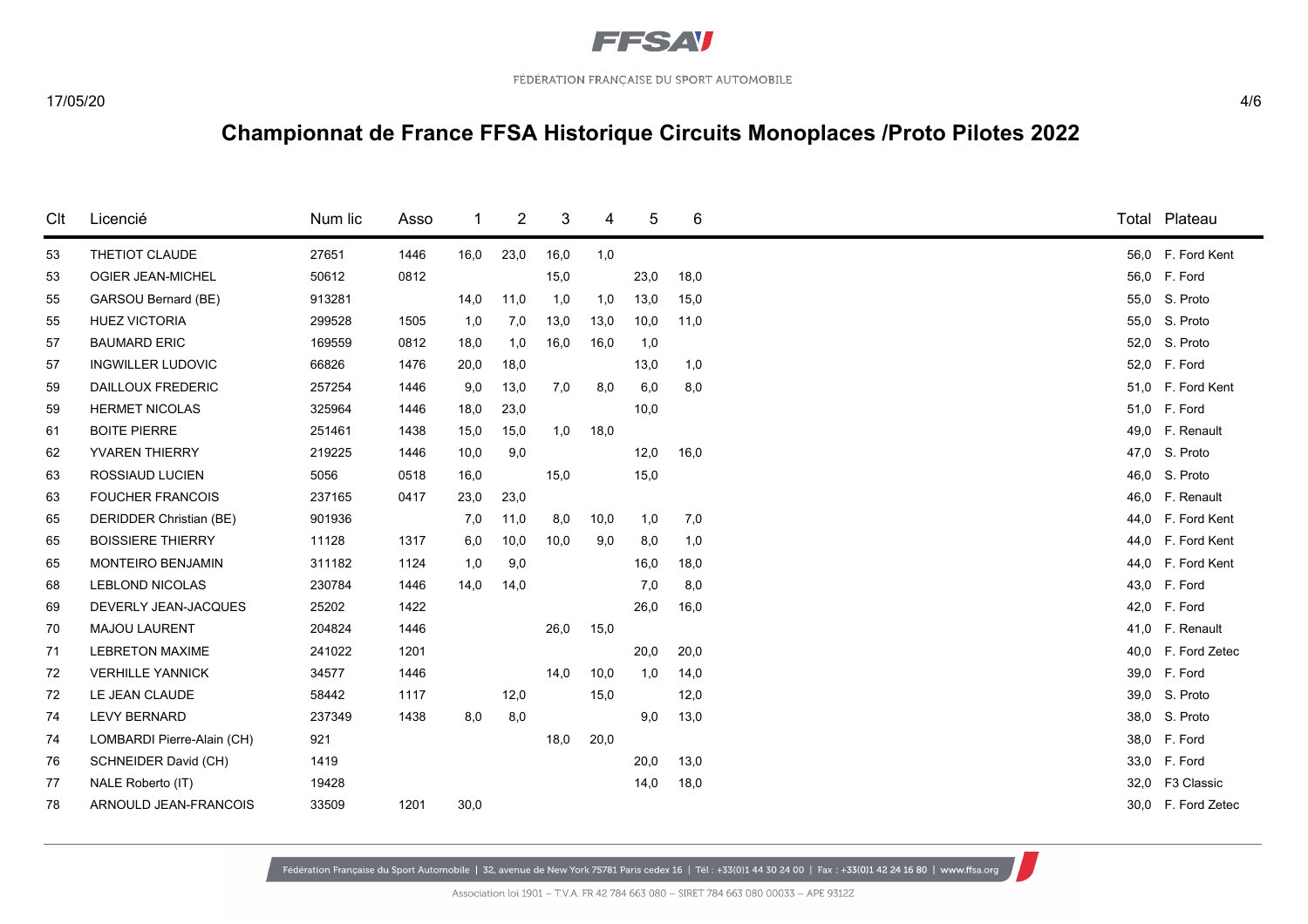

| Clt | Licencié                   | Num lic | Asso |      | 2    | 3    | 4    | 5    | 6    |      | Total Plateau      |
|-----|----------------------------|---------|------|------|------|------|------|------|------|------|--------------------|
| 53  | THETIOT CLAUDE             | 27651   | 1446 | 16,0 | 23,0 | 16,0 | 1,0  |      |      |      | 56,0 F. Ford Kent  |
| 53  | OGIER JEAN-MICHEL          | 50612   | 0812 |      |      | 15,0 |      | 23,0 | 18,0 |      | 56,0 F. Ford       |
| 55  | GARSOU Bernard (BE)        | 913281  |      | 14,0 | 11,0 | 1,0  | 1,0  | 13,0 | 15,0 |      | 55,0 S. Proto      |
| 55  | <b>HUEZ VICTORIA</b>       | 299528  | 1505 | 1,0  | 7,0  | 13,0 | 13,0 | 10,0 | 11,0 | 55,0 | S. Proto           |
| 57  | <b>BAUMARD ERIC</b>        | 169559  | 0812 | 18,0 | 1,0  | 16,0 | 16,0 | 1,0  |      | 52,0 | S. Proto           |
| 57  | <b>INGWILLER LUDOVIC</b>   | 66826   | 1476 | 20,0 | 18,0 |      |      | 13,0 | 1,0  |      | 52,0 F. Ford       |
| 59  | <b>DAILLOUX FREDERIC</b>   | 257254  | 1446 | 9,0  | 13,0 | 7,0  | 8,0  | 6,0  | 8,0  |      | 51,0 F. Ford Kent  |
| 59  | <b>HERMET NICOLAS</b>      | 325964  | 1446 | 18,0 | 23,0 |      |      | 10,0 |      |      | 51,0 F. Ford       |
| 61  | <b>BOITE PIERRE</b>        | 251461  | 1438 | 15,0 | 15,0 | 1,0  | 18,0 |      |      |      | 49,0 F. Renault    |
| 62  | YVAREN THIERRY             | 219225  | 1446 | 10,0 | 9,0  |      |      | 12,0 | 16,0 | 47,0 | S. Proto           |
| 63  | <b>ROSSIAUD LUCIEN</b>     | 5056    | 0518 | 16,0 |      | 15,0 |      | 15,0 |      | 46,0 | S. Proto           |
| 63  | <b>FOUCHER FRANCOIS</b>    | 237165  | 0417 | 23,0 | 23,0 |      |      |      |      |      | 46,0 F. Renault    |
| 65  | DERIDDER Christian (BE)    | 901936  |      | 7,0  | 11,0 | 8,0  | 10,0 | 1,0  | 7,0  | 44.0 | F. Ford Kent       |
| 65  | <b>BOISSIERE THIERRY</b>   | 11128   | 1317 | 6,0  | 10,0 | 10,0 | 9,0  | 8,0  | 1,0  |      | 44,0 F. Ford Kent  |
| 65  | <b>MONTEIRO BENJAMIN</b>   | 311182  | 1124 | 1,0  | 9,0  |      |      | 16,0 | 18,0 |      | 44,0 F. Ford Kent  |
| 68  | <b>LEBLOND NICOLAS</b>     | 230784  | 1446 | 14,0 | 14,0 |      |      | 7,0  | 8,0  |      | 43,0 F. Ford       |
| 69  | DEVERLY JEAN-JACQUES       | 25202   | 1422 |      |      |      |      | 26,0 | 16,0 |      | 42,0 F. Ford       |
| 70  | <b>MAJOU LAURENT</b>       | 204824  | 1446 |      |      | 26,0 | 15,0 |      |      |      | 41,0 F. Renault    |
| 71  | <b>LEBRETON MAXIME</b>     | 241022  | 1201 |      |      |      |      | 20,0 | 20,0 | 40,0 | F. Ford Zetec      |
| 72  | <b>VERHILLE YANNICK</b>    | 34577   | 1446 |      |      | 14,0 | 10,0 | 1,0  | 14,0 |      | 39,0 F. Ford       |
| 72  | LE JEAN CLAUDE             | 58442   | 1117 |      | 12,0 |      | 15,0 |      | 12,0 | 39,0 | S. Proto           |
| 74  | <b>LEVY BERNARD</b>        | 237349  | 1438 | 8,0  | 8,0  |      |      | 9,0  | 13,0 |      | 38,0 S. Proto      |
| 74  | LOMBARDI Pierre-Alain (CH) | 921     |      |      |      | 18,0 | 20,0 |      |      |      | 38,0 F. Ford       |
| 76  | SCHNEIDER David (CH)       | 1419    |      |      |      |      |      | 20,0 | 13,0 | 33,0 | F. Ford            |
| 77  | NALE Roberto (IT)          | 19428   |      |      |      |      |      | 14,0 | 18,0 |      | 32,0 F3 Classic    |
| 78  | ARNOULD JEAN-FRANCOIS      | 33509   | 1201 | 30,0 |      |      |      |      |      |      | 30,0 F. Ford Zetec |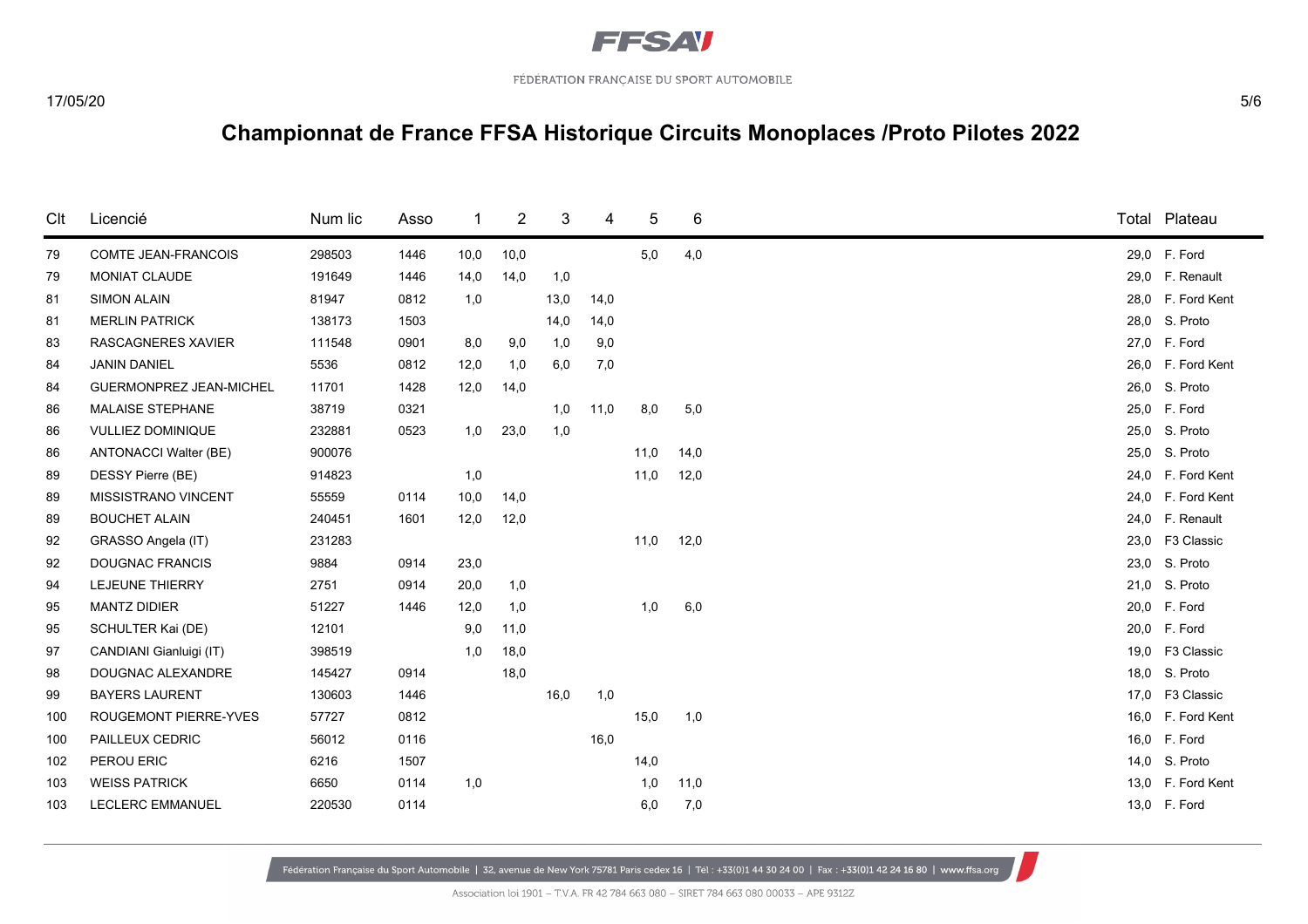

| Clt | Licencié                       | Num lic | Asso | 1    | 2    | 3    | 4    | 5    | 6    |      | Total Plateau     |
|-----|--------------------------------|---------|------|------|------|------|------|------|------|------|-------------------|
| 79  | <b>COMTE JEAN-FRANCOIS</b>     | 298503  | 1446 | 10,0 | 10,0 |      |      | 5,0  | 4,0  |      | 29,0 F. Ford      |
| 79  | MONIAT CLAUDE                  | 191649  | 1446 | 14,0 | 14,0 | 1,0  |      |      |      |      | 29,0 F. Renault   |
| 81  | <b>SIMON ALAIN</b>             | 81947   | 0812 | 1,0  |      | 13,0 | 14,0 |      |      |      | 28,0 F. Ford Kent |
| 81  | <b>MERLIN PATRICK</b>          | 138173  | 1503 |      |      | 14,0 | 14,0 |      |      |      | 28,0 S. Proto     |
| 83  | <b>RASCAGNERES XAVIER</b>      | 111548  | 0901 | 8,0  | 9,0  | 1,0  | 9,0  |      |      |      | 27,0 F. Ford      |
| 84  | <b>JANIN DANIEL</b>            | 5536    | 0812 | 12,0 | 1,0  | 6,0  | 7,0  |      |      |      | 26,0 F. Ford Kent |
| 84  | <b>GUERMONPREZ JEAN-MICHEL</b> | 11701   | 1428 | 12,0 | 14,0 |      |      |      |      |      | 26,0 S. Proto     |
| 86  | MALAISE STEPHANE               | 38719   | 0321 |      |      | 1,0  | 11,0 | 8,0  | 5,0  |      | 25,0 F. Ford      |
| 86  | <b>VULLIEZ DOMINIQUE</b>       | 232881  | 0523 | 1,0  | 23,0 | 1,0  |      |      |      |      | 25,0 S. Proto     |
| 86  | <b>ANTONACCI Walter (BE)</b>   | 900076  |      |      |      |      |      | 11,0 | 14,0 |      | 25,0 S. Proto     |
| 89  | DESSY Pierre (BE)              | 914823  |      | 1,0  |      |      |      | 11,0 | 12,0 |      | 24,0 F. Ford Kent |
| 89  | <b>MISSISTRANO VINCENT</b>     | 55559   | 0114 | 10,0 | 14,0 |      |      |      |      |      | 24,0 F. Ford Kent |
| 89  | <b>BOUCHET ALAIN</b>           | 240451  | 1601 | 12,0 | 12,0 |      |      |      |      |      | 24,0 F. Renault   |
| 92  | GRASSO Angela (IT)             | 231283  |      |      |      |      |      | 11,0 | 12,0 |      | 23,0 F3 Classic   |
| 92  | <b>DOUGNAC FRANCIS</b>         | 9884    | 0914 | 23,0 |      |      |      |      |      |      | 23,0 S. Proto     |
| 94  | <b>LEJEUNE THIERRY</b>         | 2751    | 0914 | 20,0 | 1,0  |      |      |      |      |      | 21,0 S. Proto     |
| 95  | <b>MANTZ DIDIER</b>            | 51227   | 1446 | 12,0 | 1,0  |      |      | 1,0  | 6,0  |      | 20,0 F. Ford      |
| 95  | SCHULTER Kai (DE)              | 12101   |      | 9,0  | 11,0 |      |      |      |      | 20,0 | F. Ford           |
| 97  | CANDIANI Gianluigi (IT)        | 398519  |      | 1,0  | 18,0 |      |      |      |      |      | 19,0 F3 Classic   |
| 98  | DOUGNAC ALEXANDRE              | 145427  | 0914 |      | 18,0 |      |      |      |      |      | 18,0 S. Proto     |
| 99  | <b>BAYERS LAURENT</b>          | 130603  | 1446 |      |      | 16,0 | 1,0  |      |      | 17,0 | F3 Classic        |
| 100 | <b>ROUGEMONT PIERRE-YVES</b>   | 57727   | 0812 |      |      |      |      | 15,0 | 1,0  |      | 16,0 F. Ford Kent |
| 100 | PAILLEUX CEDRIC                | 56012   | 0116 |      |      |      | 16,0 |      |      |      | 16,0 F. Ford      |
| 102 | PEROU ERIC                     | 6216    | 1507 |      |      |      |      | 14,0 |      |      | 14,0 S. Proto     |
| 103 | <b>WEISS PATRICK</b>           | 6650    | 0114 | 1,0  |      |      |      | 1,0  | 11,0 |      | 13,0 F. Ford Kent |
| 103 | LECLERC EMMANUEL               | 220530  | 0114 |      |      |      |      | 6,0  | 7,0  |      | 13,0 F. Ford      |

Fédération Française du Sport Automobile | 32, avenue de New York 75781 Paris cedex 16 | Tél: +33(0)1 44 30 24 00 | Fax: +33(0)1 42 24 16 80 | www.ffsa.org

Association loi 1901 - T.V.A. FR 42 784 663 080 - SIRET 784 663 080 00033 - APE 9312Z